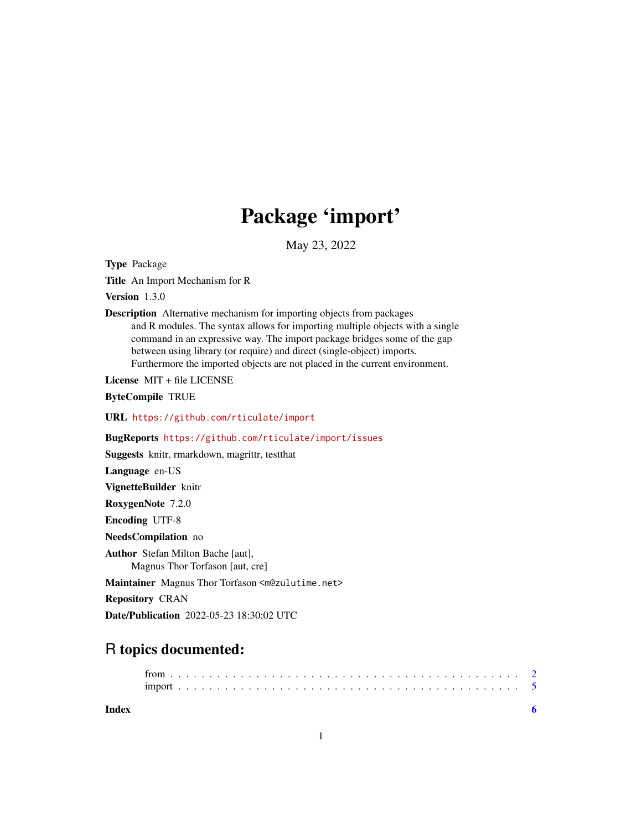## Package 'import'

May 23, 2022

Type Package

Title An Import Mechanism for R

Version 1.3.0

Description Alternative mechanism for importing objects from packages and R modules. The syntax allows for importing multiple objects with a single command in an expressive way. The import package bridges some of the gap between using library (or require) and direct (single-object) imports. Furthermore the imported objects are not placed in the current environment.

License MIT + file LICENSE

ByteCompile TRUE

URL <https://github.com/rticulate/import>

BugReports <https://github.com/rticulate/import/issues>

Suggests knitr, rmarkdown, magrittr, testthat

Language en-US

VignetteBuilder knitr

RoxygenNote 7.2.0

Encoding UTF-8

NeedsCompilation no

Author Stefan Milton Bache [aut], Magnus Thor Torfason [aut, cre]

Maintainer Magnus Thor Torfason <m@zulutime.net>

Repository CRAN

Date/Publication 2022-05-23 18:30:02 UTC

### R topics documented:

**Index** [6](#page-5-0) **6**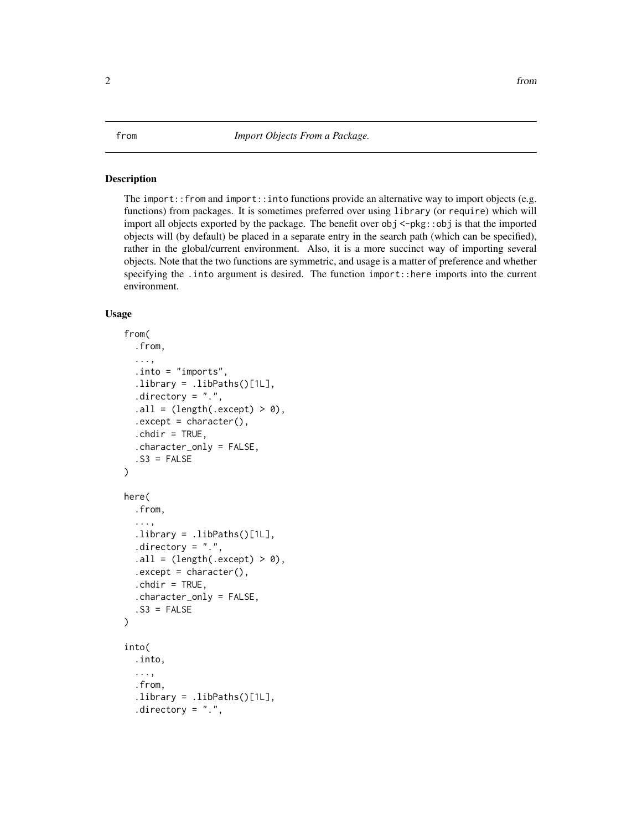#### <span id="page-1-2"></span><span id="page-1-1"></span><span id="page-1-0"></span>**Description**

The import::from and import::into functions provide an alternative way to import objects (e.g. functions) from packages. It is sometimes preferred over using library (or require) which will import all objects exported by the package. The benefit over obj <-pkg::obj is that the imported objects will (by default) be placed in a separate entry in the search path (which can be specified), rather in the global/current environment. Also, it is a more succinct way of importing several objects. Note that the two functions are symmetric, and usage is a matter of preference and whether specifying the .into argument is desired. The function import::here imports into the current environment.

#### Usage

```
from(
  .from,
  ...,
  .into = "imports",
  library = libPaths()[1L],.directory = "."..all = (length(.except) > 0),
  execet = character(),.chdir = TRUE,
  .character_only = FALSE,
  .S3 = FALSE
)
here(
  .from,
  ...,
  .library = .libPaths()[1L],
  directory = ".".all = (length(.except) > 0),
  execet = character(),.chdir = TRUE,
  .character_only = FALSE,
  .S3 = FALSE)
into(
  .into,
  ...,
  .from,
  .library = .libPaths()[1L],
  directory = "."
```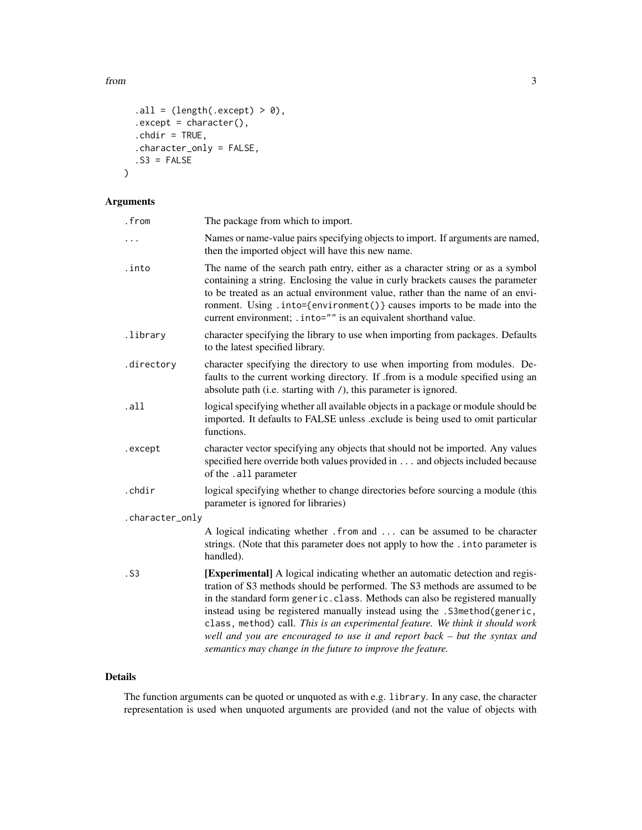from 3

```
.all = (length(.except) > 0),
.execute.except = character(),
.chdir = TRUE,
.character_only = FALSE,
. S3 = FALSE
```
#### Arguments

 $\mathcal{L}$ 

| .from           | The package from which to import.                                                                                                                                                                                                                                                                                                                                                                                                                                                                                                                     |  |
|-----------------|-------------------------------------------------------------------------------------------------------------------------------------------------------------------------------------------------------------------------------------------------------------------------------------------------------------------------------------------------------------------------------------------------------------------------------------------------------------------------------------------------------------------------------------------------------|--|
| .               | Names or name-value pairs specifying objects to import. If arguments are named,<br>then the imported object will have this new name.                                                                                                                                                                                                                                                                                                                                                                                                                  |  |
| .into           | The name of the search path entry, either as a character string or as a symbol<br>containing a string. Enclosing the value in curly brackets causes the parameter<br>to be treated as an actual environment value, rather than the name of an envi-<br>ronment. Using .into={environment()} causes imports to be made into the<br>current environment; . into="" is an equivalent shorthand value.                                                                                                                                                    |  |
| .library        | character specifying the library to use when importing from packages. Defaults<br>to the latest specified library.                                                                                                                                                                                                                                                                                                                                                                                                                                    |  |
| .directory      | character specifying the directory to use when importing from modules. De-<br>faults to the current working directory. If .from is a module specified using an<br>absolute path (i.e. starting with /), this parameter is ignored.                                                                                                                                                                                                                                                                                                                    |  |
| .all            | logical specifying whether all available objects in a package or module should be<br>imported. It defaults to FALSE unless .exclude is being used to omit particular<br>functions.                                                                                                                                                                                                                                                                                                                                                                    |  |
| .except         | character vector specifying any objects that should not be imported. Any values<br>specified here override both values provided in and objects included because<br>of the .all parameter                                                                                                                                                                                                                                                                                                                                                              |  |
| .chdir          | logical specifying whether to change directories before sourcing a module (this<br>parameter is ignored for libraries)                                                                                                                                                                                                                                                                                                                                                                                                                                |  |
| .character_only |                                                                                                                                                                                                                                                                                                                                                                                                                                                                                                                                                       |  |
|                 | A logical indicating whether . from and  can be assumed to be character<br>strings. (Note that this parameter does not apply to how the . into parameter is<br>handled).                                                                                                                                                                                                                                                                                                                                                                              |  |
| .S3             | [Experimental] A logical indicating whether an automatic detection and regis-<br>tration of S3 methods should be performed. The S3 methods are assumed to be<br>in the standard form generic.class. Methods can also be registered manually<br>instead using be registered manually instead using the .S3method(generic,<br>class, method) call. This is an experimental feature. We think it should work<br>well and you are encouraged to use it and report back - but the syntax and<br>semantics may change in the future to improve the feature. |  |

#### Details

The function arguments can be quoted or unquoted as with e.g. library. In any case, the character representation is used when unquoted arguments are provided (and not the value of objects with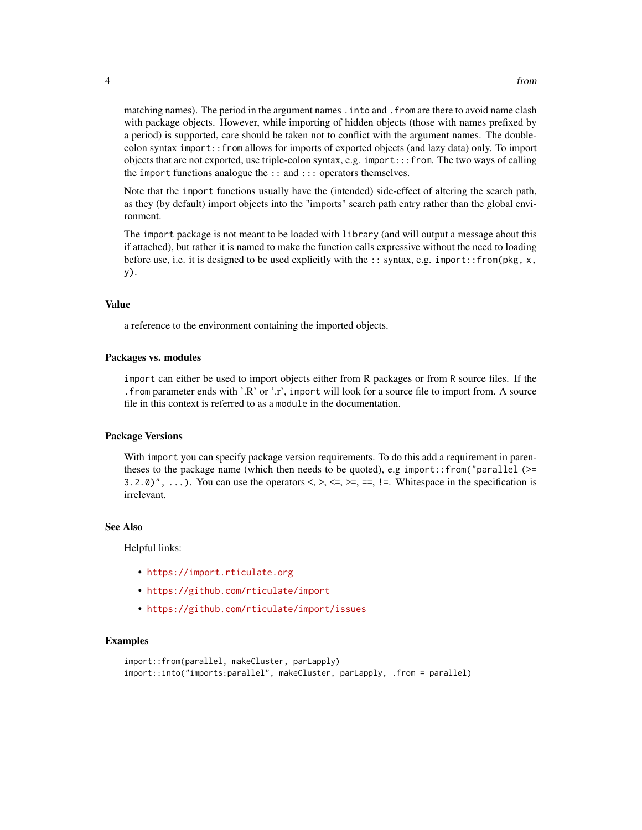matching names). The period in the argument names . into and . from are there to avoid name clash with package objects. However, while importing of hidden objects (those with names prefixed by a period) is supported, care should be taken not to conflict with the argument names. The doublecolon syntax import::from allows for imports of exported objects (and lazy data) only. To import objects that are not exported, use triple-colon syntax, e.g. import::: from. The two ways of calling the import functions analogue the :: and ::: operators themselves.

Note that the import functions usually have the (intended) side-effect of altering the search path, as they (by default) import objects into the "imports" search path entry rather than the global environment.

The import package is not meant to be loaded with library (and will output a message about this if attached), but rather it is named to make the function calls expressive without the need to loading before use, i.e. it is designed to be used explicitly with the :: syntax, e.g. import::from(pkg,  $x$ , y).

#### Value

a reference to the environment containing the imported objects.

#### Packages vs. modules

import can either be used to import objects either from R packages or from R source files. If the .from parameter ends with '.R' or '.r', import will look for a source file to import from. A source file in this context is referred to as a module in the documentation.

#### Package Versions

With import you can specify package version requirements. To do this add a requirement in parentheses to the package name (which then needs to be quoted), e.g import::from("parallel ( $>=$ 3.2.0)", ...). You can use the operators  $\lt, \gt, \lt =, \gt =, \gt =, \gt =, \gt$ . Whitespace in the specification is irrelevant.

#### See Also

Helpful links:

- <https://import.rticulate.org>
- <https://github.com/rticulate/import>
- <https://github.com/rticulate/import/issues>

#### Examples

```
import::from(parallel, makeCluster, parLapply)
import::into("imports:parallel", makeCluster, parLapply, .from = parallel)
```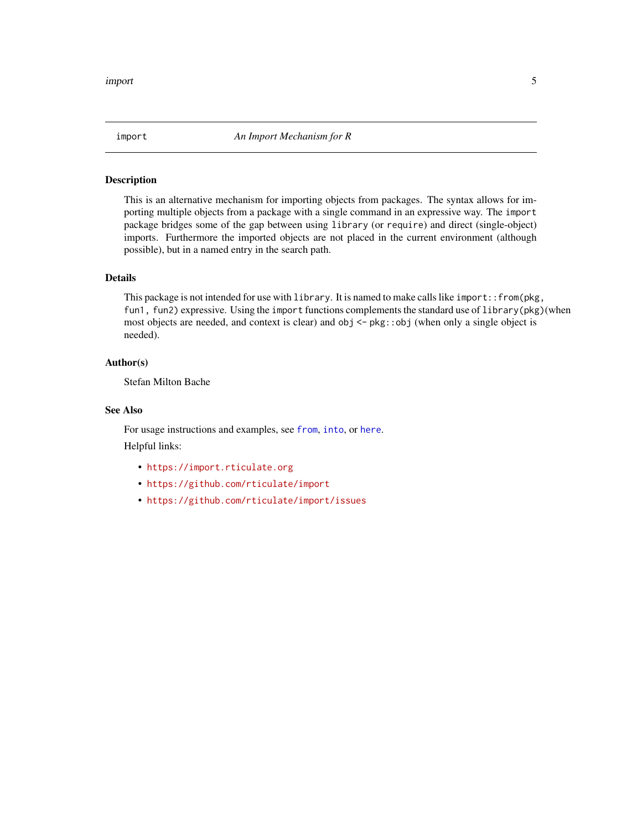<span id="page-4-0"></span>

#### Description

This is an alternative mechanism for importing objects from packages. The syntax allows for importing multiple objects from a package with a single command in an expressive way. The import package bridges some of the gap between using library (or require) and direct (single-object) imports. Furthermore the imported objects are not placed in the current environment (although possible), but in a named entry in the search path.

#### Details

This package is not intended for use with library. It is named to make calls like import::from(pkg, fun1, fun2) expressive. Using the import functions complements the standard use of library(pkg)(when most objects are needed, and context is clear) and obj <- pkg::obj (when only a single object is needed).

#### Author(s)

Stefan Milton Bache

#### See Also

For usage instructions and examples, see [from](#page-1-1), [into](#page-1-2), or [here](#page-1-2). Helpful links:

- <https://import.rticulate.org>
- <https://github.com/rticulate/import>
- <https://github.com/rticulate/import/issues>